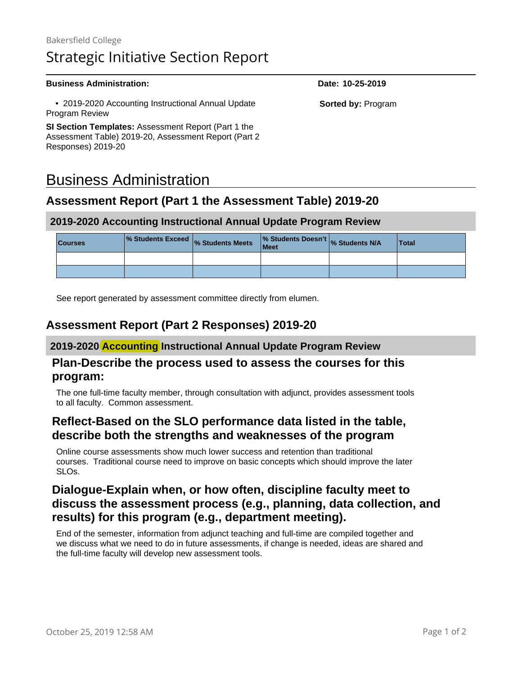#### **Business Administration: Date: 10-25-2019**

 • 2019-2020 Accounting Instructional Annual Update Program Review

**SI Section Templates:** Assessment Report (Part 1 the Assessment Table) 2019-20, Assessment Report (Part 2 Responses) 2019-20

## Business Administration

#### **Assessment Report (Part 1 the Assessment Table) 2019-20**

#### **2019-2020 Accounting Instructional Annual Update Program Review**

| <b>Courses</b> | % Students Exceed % Students Meets | % Students Doesn't % Students N/A<br>Meet | <b>Total</b> |
|----------------|------------------------------------|-------------------------------------------|--------------|
|                |                                    |                                           |              |
|                |                                    |                                           |              |

See report generated by assessment committee directly from elumen.

#### **Assessment Report (Part 2 Responses) 2019-20**

#### **2019-2020 Accounting Instructional Annual Update Program Review**

#### **Plan-Describe the process used to assess the courses for this program:**

The one full-time faculty member, through consultation with adjunct, provides assessment tools to all faculty. Common assessment.

#### **Reflect-Based on the SLO performance data listed in the table, describe both the strengths and weaknesses of the program**

Online course assessments show much lower success and retention than traditional courses. Traditional course need to improve on basic concepts which should improve the later SLOs.

## **Dialogue-Explain when, or how often, discipline faculty meet to discuss the assessment process (e.g., planning, data collection, and results) for this program (e.g., department meeting).**

End of the semester, information from adjunct teaching and full-time are compiled together and we discuss what we need to do in future assessments, if change is needed, ideas are shared and the full-time faculty will develop new assessment tools.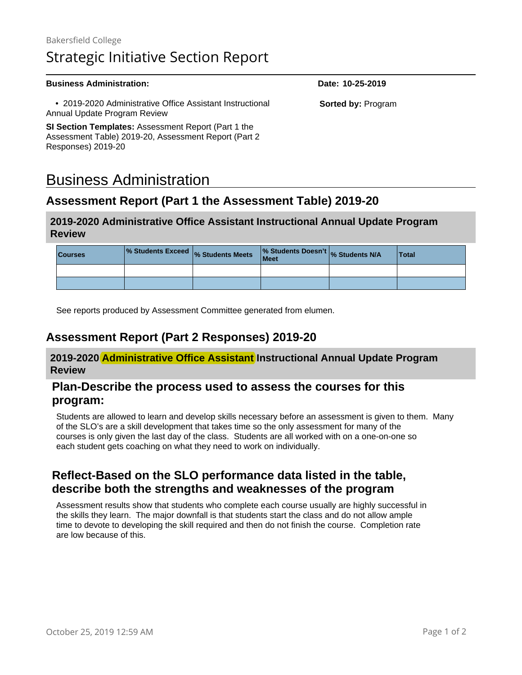#### **Business Administration: Date: 10-25-2019**

 • 2019-2020 Administrative Office Assistant Instructional Annual Update Program Review

**SI Section Templates:** Assessment Report (Part 1 the Assessment Table) 2019-20, Assessment Report (Part 2 Responses) 2019-20

# Business Administration

## **Assessment Report (Part 1 the Assessment Table) 2019-20**

#### **2019-2020 Administrative Office Assistant Instructional Annual Update Program Review**

| <b>Courses</b> | % Students Exceed % Students Meets | % Students Doesn't % Students N/A<br>Meet | <b>Total</b> |
|----------------|------------------------------------|-------------------------------------------|--------------|
|                |                                    |                                           |              |
|                |                                    |                                           |              |

See reports produced by Assessment Committee generated from elumen.

#### **Assessment Report (Part 2 Responses) 2019-20**

**2019-2020 Administrative Office Assistant Instructional Annual Update Program Review**

#### **Plan-Describe the process used to assess the courses for this program:**

Students are allowed to learn and develop skills necessary before an assessment is given to them. Many of the SLO's are a skill development that takes time so the only assessment for many of the courses is only given the last day of the class. Students are all worked with on a one-on-one so each student gets coaching on what they need to work on individually.

## **Reflect-Based on the SLO performance data listed in the table, describe both the strengths and weaknesses of the program**

Assessment results show that students who complete each course usually are highly successful in the skills they learn. The major downfall is that students start the class and do not allow ample time to devote to developing the skill required and then do not finish the course. Completion rate are low because of this.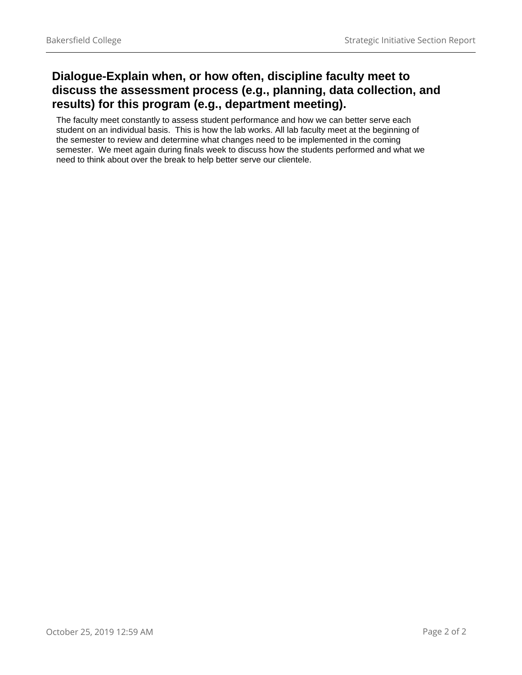## **Dialogue-Explain when, or how often, discipline faculty meet to discuss the assessment process (e.g., planning, data collection, and results) for this program (e.g., department meeting).**

The faculty meet constantly to assess student performance and how we can better serve each student on an individual basis. This is how the lab works. All lab faculty meet at the beginning of the semester to review and determine what changes need to be implemented in the coming semester. We meet again during finals week to discuss how the students performed and what we need to think about over the break to help better serve our clientele.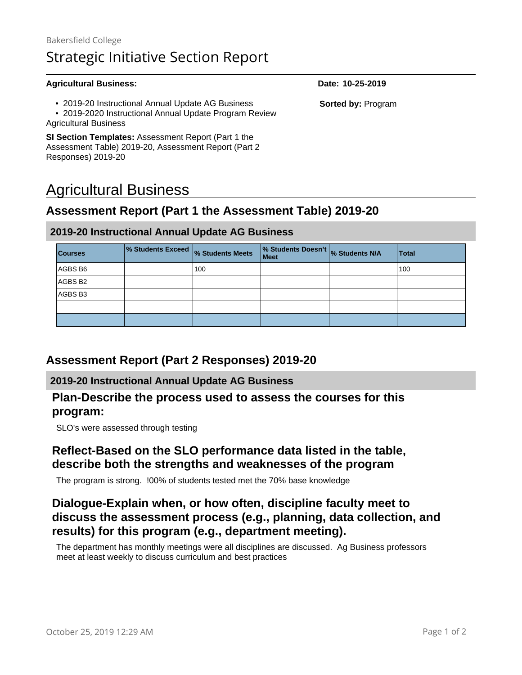| <b>Agricultural Business:</b>                                                                                                               | Date: 10-25-2019         |
|---------------------------------------------------------------------------------------------------------------------------------------------|--------------------------|
| • 2019-20 Instructional Annual Update AG Business<br>• 2019-2020 Instructional Annual Update Program Review<br><b>Agricultural Business</b> | <b>Sorted by: Progra</b> |
| <b>SI Section Templates:</b> Assessment Report (Part 1 the<br>Assessment Table) 2019-20, Assessment Report (Part 2                          |                          |

# Agricultural Business

Responses) 2019-20

#### **Assessment Report (Part 1 the Assessment Table) 2019-20**

#### **2019-20 Instructional Annual Update AG Business**

| <b>Courses</b> | 1% Students Exceed  % Students Meets |     | % Students Doesn't % Students N/A<br><b>Meet</b> | <b>Total</b> |
|----------------|--------------------------------------|-----|--------------------------------------------------|--------------|
| AGBS B6        |                                      | 100 |                                                  | 100          |
| AGBS B2        |                                      |     |                                                  |              |
| AGBS B3        |                                      |     |                                                  |              |
|                |                                      |     |                                                  |              |
|                |                                      |     |                                                  |              |

#### **Assessment Report (Part 2 Responses) 2019-20**

#### **2019-20 Instructional Annual Update AG Business**

#### **Plan-Describe the process used to assess the courses for this program:**

SLO's were assessed through testing

#### **Reflect-Based on the SLO performance data listed in the table, describe both the strengths and weaknesses of the program**

The program is strong. !00% of students tested met the 70% base knowledge

## **Dialogue-Explain when, or how often, discipline faculty meet to discuss the assessment process (e.g., planning, data collection, and results) for this program (e.g., department meeting).**

The department has monthly meetings were all disciplines are discussed. Ag Business professors meet at least weekly to discuss curriculum and best practices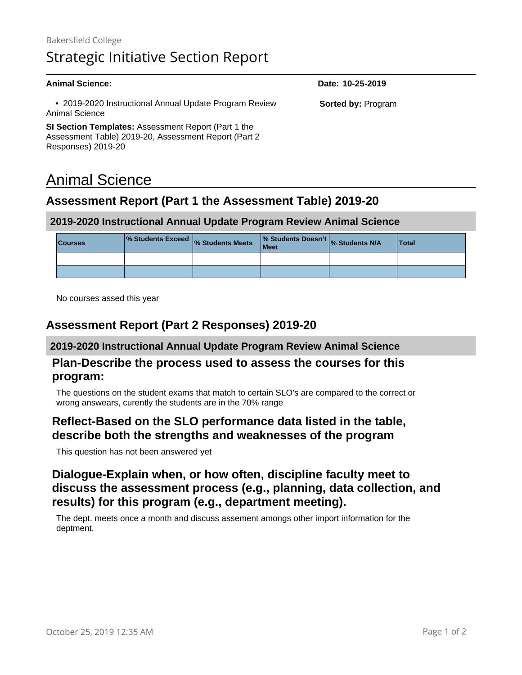| Animal Science:                                                          | Date: 10-25-2019          |
|--------------------------------------------------------------------------|---------------------------|
| • 2019-2020 Instructional Annual Update Program Review<br>Animal Science | <b>Sorted by: Program</b> |
| SI Section Templates: Assessment Report (Part 1 the                      |                           |
| Assessment Table) 2019-20, Assessment Report (Part 2                     |                           |

# Animal Science

Responses) 2019-20

## **Assessment Report (Part 1 the Assessment Table) 2019-20**

#### **2019-2020 Instructional Annual Update Program Review Animal Science**

| <b>Courses</b> | % Students Exceed % Students Meets | % Students Doesn't % Students N/A<br><b>Meet</b> | <b>Total</b> |
|----------------|------------------------------------|--------------------------------------------------|--------------|
|                |                                    |                                                  |              |
|                |                                    |                                                  |              |

No courses assed this year

## **Assessment Report (Part 2 Responses) 2019-20**

#### **2019-2020 Instructional Annual Update Program Review Animal Science**

#### **Plan-Describe the process used to assess the courses for this program:**

The questions on the student exams that match to certain SLO's are compared to the correct or wrong answears, curently the students are in the 70% range

#### **Reflect-Based on the SLO performance data listed in the table, describe both the strengths and weaknesses of the program**

This question has not been answered yet

## **Dialogue-Explain when, or how often, discipline faculty meet to discuss the assessment process (e.g., planning, data collection, and results) for this program (e.g., department meeting).**

The dept. meets once a month and discuss assement amongs other import information for the deptment.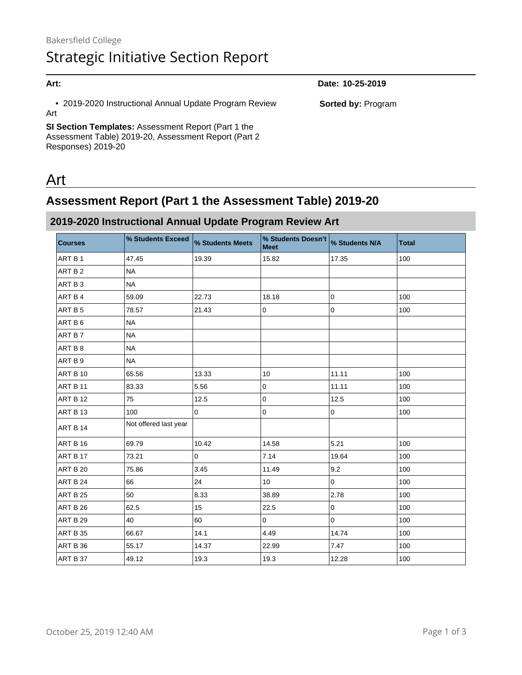# **Art: Date: 10-25-2019** • 2019-2020 Instructional Annual Update Program Review

**SI Section Templates:** Assessment Report (Part 1 the Assessment Table) 2019-20, Assessment Report (Part 2 Responses) 2019-20

# Art

Art

## **Assessment Report (Part 1 the Assessment Table) 2019-20**

## **2019-2020 Instructional Annual Update Program Review Art**

| <b>Courses</b> | % Students Exceed     | % Students Meets | % Students Doesn't<br><b>Meet</b> | % Students N/A      | <b>Total</b> |
|----------------|-----------------------|------------------|-----------------------------------|---------------------|--------------|
| ART B 1        | 47.45                 | 19.39            | 15.82                             | 17.35               | 100          |
| ART B 2        | <b>NA</b>             |                  |                                   |                     |              |
| ART B 3        | <b>NA</b>             |                  |                                   |                     |              |
| ART B 4        | 59.09                 | 22.73            | 18.18                             | $\pmb{0}$           | 100          |
| ART B 5        | 78.57                 | 21.43            | 0                                 | $\pmb{0}$           | 100          |
| ART B 6        | <b>NA</b>             |                  |                                   |                     |              |
| ART B7         | <b>NA</b>             |                  |                                   |                     |              |
| ART B 8        | <b>NA</b>             |                  |                                   |                     |              |
| ART B 9        | <b>NA</b>             |                  |                                   |                     |              |
| ART B 10       | 65.56                 | 13.33            | 10                                | 11.11               | 100          |
| ART B 11       | 83.33                 | 5.56             | 0                                 | 11.11               | 100          |
| ART B 12       | 75                    | 12.5             | $\pmb{0}$                         | 12.5                | 100          |
| ART B 13       | 100                   | $\pmb{0}$        | $\pmb{0}$                         | $\pmb{0}$           | 100          |
| ART B 14       | Not offered last year |                  |                                   |                     |              |
| ART B 16       | 69.79                 | 10.42            | 14.58                             | 5.21                | 100          |
| ART B 17       | 73.21                 | $\mathbf{0}$     | 7.14                              | 19.64               | 100          |
| ART B 20       | 75.86                 | 3.45             | 11.49                             | 9.2                 | 100          |
| ART B 24       | 66                    | 24               | 10                                | $\mathbf 0$         | 100          |
| ART B 25       | 50                    | 8.33             | 38.89                             | 2.78                | 100          |
| ART B 26       | 62.5                  | 15               | 22.5                              | $\mathsf 0$         | 100          |
| ART B 29       | 40                    | 60               | 0                                 | $\mathsf{O}\xspace$ | 100          |
| ART B 35       | 66.67                 | 14.1             | 4.49                              | 14.74               | 100          |
| ART B 36       | 55.17                 | 14.37            | 22.99                             | 7.47                | 100          |
| ART B 37       | 49.12                 | 19.3             | 19.3                              | 12.28               | 100          |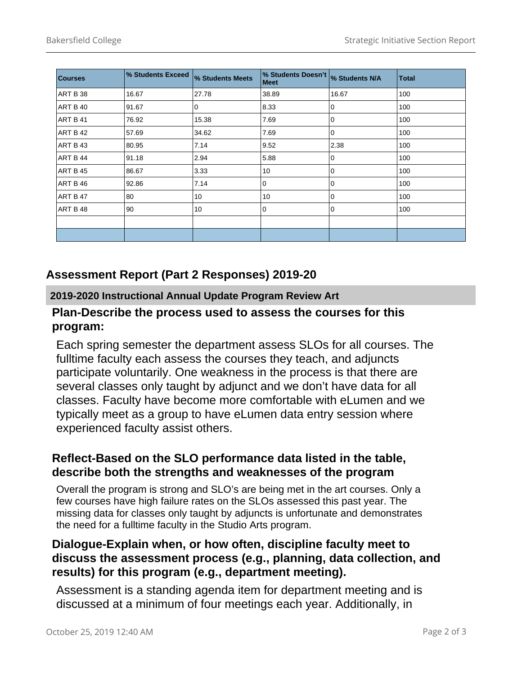| <b>Courses</b>  | % Students Exceed | % Students Meets | % Students Doesn't<br>Meet | % Students N/A | <b>Total</b> |
|-----------------|-------------------|------------------|----------------------------|----------------|--------------|
| ART B 38        | 16.67             | 27.78            | 38.89                      | 16.67          | 100          |
| <b>ART B 40</b> | 91.67             | 0                | 8.33                       | 0              | 100          |
| <b>ART B 41</b> | 76.92             | 15.38            | 7.69                       | 0              | 100          |
| ART B 42        | 57.69             | 34.62            | 7.69                       | 0              | 100          |
| ART B 43        | 80.95             | 7.14             | 9.52                       | 2.38           | 100          |
| ART B 44        | 91.18             | 2.94             | 5.88                       | 0              | 100          |
| <b>ART B 45</b> | 86.67             | 3.33             | 10                         | 0              | 100          |
| ART B 46        | 92.86             | 7.14             | 0                          | 0              | 100          |
| ART B 47        | 80                | 10               | 10                         | 0              | 100          |
| ART B 48        | 90                | 10               | 0                          | 0              | 100          |
|                 |                   |                  |                            |                |              |
|                 |                   |                  |                            |                |              |

## **Assessment Report (Part 2 Responses) 2019-20**

#### **2019-2020 Instructional Annual Update Program Review Art**

#### **Plan-Describe the process used to assess the courses for this program:**

Each spring semester the department assess SLOs for all courses. The fulltime faculty each assess the courses they teach, and adjuncts participate voluntarily. One weakness in the process is that there are several classes only taught by adjunct and we don't have data for all classes. Faculty have become more comfortable with eLumen and we typically meet as a group to have eLumen data entry session where experienced faculty assist others.

## **Reflect-Based on the SLO performance data listed in the table, describe both the strengths and weaknesses of the program**

Overall the program is strong and SLO's are being met in the art courses. Only a few courses have high failure rates on the SLOs assessed this past year. The missing data for classes only taught by adjuncts is unfortunate and demonstrates the need for a fulltime faculty in the Studio Arts program.

## **Dialogue-Explain when, or how often, discipline faculty meet to discuss the assessment process (e.g., planning, data collection, and results) for this program (e.g., department meeting).**

Assessment is a standing agenda item for department meeting and is discussed at a minimum of four meetings each year. Additionally, in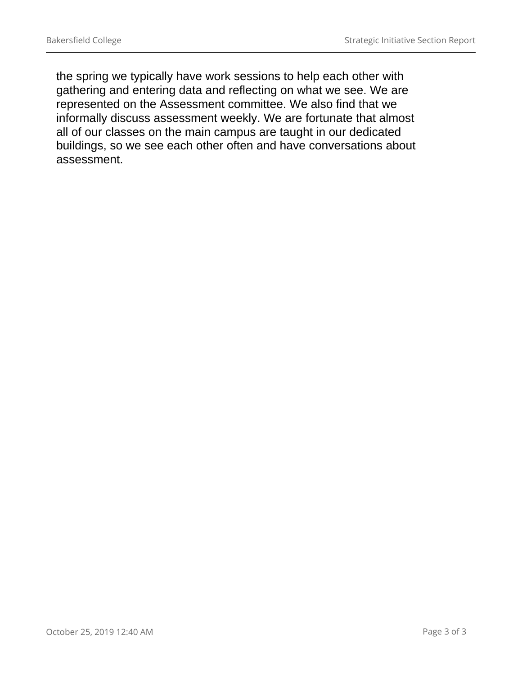the spring we typically have work sessions to help each other with gathering and entering data and reflecting on what we see. We are represented on the Assessment committee. We also find that we informally discuss assessment weekly. We are fortunate that almost all of our classes on the main campus are taught in our dedicated buildings, so we see each other often and have conversations about assessment.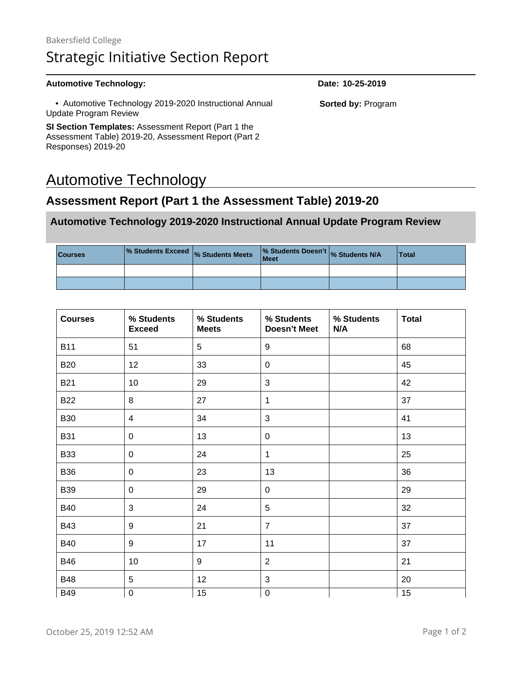#### Automotive Technology: **Date:** 10-25-2019 • Automotive Technology 2019-2020 Instructional Annual Update Program Review **SI Section Templates:** Assessment Report (Part 1 the Assessment Table) 2019-20, Assessment Report (Part 2 **Sorted by:** Program

# Automotive Technology

Responses) 2019-20

## **Assessment Report (Part 1 the Assessment Table) 2019-20**

#### **Automotive Technology 2019-2020 Instructional Annual Update Program Review**

| <b>Courses</b> | $\frac{1}{2}$ Students Exceed $\frac{1}{2}$ Students Meets | % Students Doesn't % Students N/A<br><b>Meet</b> | <b>Total</b> |
|----------------|------------------------------------------------------------|--------------------------------------------------|--------------|
|                |                                                            |                                                  |              |
|                |                                                            |                                                  |              |

| <b>Courses</b> | % Students<br><b>Exceed</b> | % Students<br><b>Meets</b> | % Students<br><b>Doesn't Meet</b> | % Students<br>N/A | <b>Total</b>    |
|----------------|-----------------------------|----------------------------|-----------------------------------|-------------------|-----------------|
| <b>B11</b>     | 51                          | 5                          | $9\,$                             |                   | 68              |
| <b>B20</b>     | 12 <sub>2</sub>             | 33                         | $\mathbf 0$                       |                   | 45              |
| <b>B21</b>     | 10                          | 29                         | 3                                 |                   | 42              |
| <b>B22</b>     | 8                           | 27                         | $\mathbf{1}$                      |                   | 37              |
| <b>B30</b>     | $\overline{4}$              | 34                         | 3                                 |                   | 41              |
| <b>B31</b>     | 0                           | 13                         | $\mathbf 0$                       |                   | 13              |
| <b>B33</b>     | $\mathbf 0$                 | 24                         | $\mathbf{1}$                      |                   | 25              |
| <b>B36</b>     | $\mathbf 0$                 | 23                         | 13                                |                   | 36              |
| <b>B39</b>     | 0                           | 29                         | $\mathbf 0$                       |                   | 29              |
| <b>B40</b>     | 3                           | 24                         | 5                                 |                   | 32              |
| <b>B43</b>     | 9                           | 21                         | $\overline{7}$                    |                   | 37              |
| <b>B40</b>     | 9                           | 17                         | 11                                |                   | 37              |
| <b>B46</b>     | 10                          | 9                          | $\overline{2}$                    |                   | 21              |
| <b>B48</b>     | 5                           | 12                         | 3                                 |                   | 20              |
| <b>B49</b>     | $\pmb{0}$                   | $\overline{15}$            | $\pmb{0}$                         |                   | $\overline{15}$ |